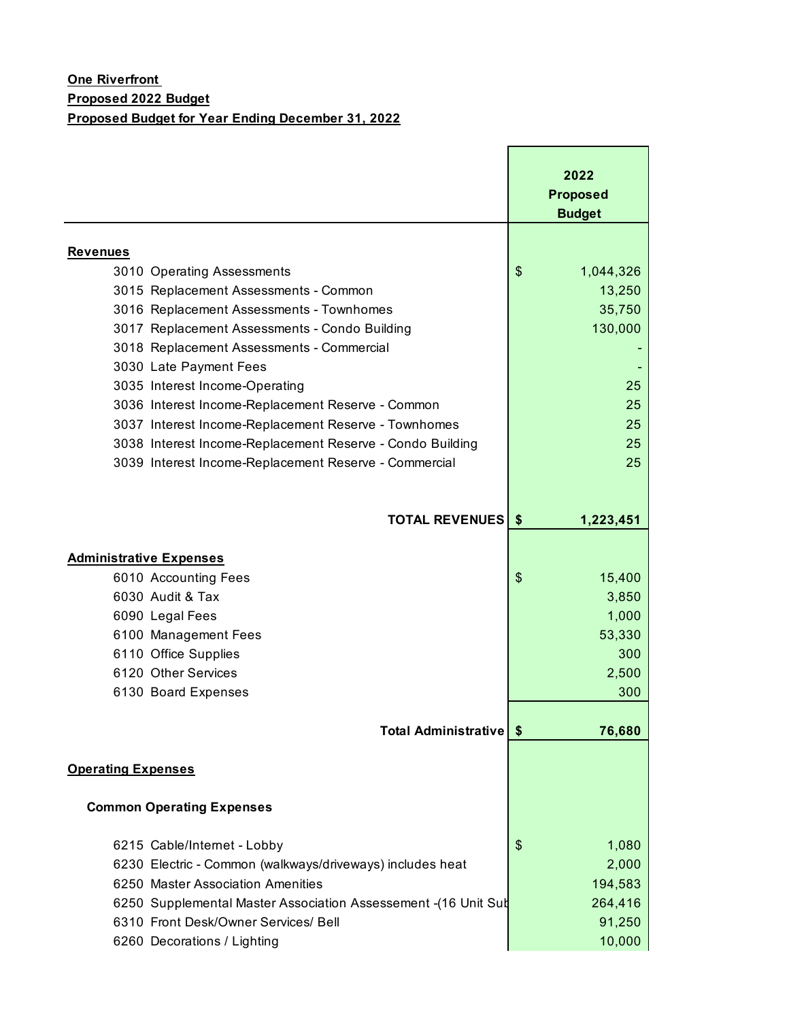|                                                                 | 2022            |
|-----------------------------------------------------------------|-----------------|
|                                                                 |                 |
|                                                                 | <b>Proposed</b> |
|                                                                 | <b>Budget</b>   |
| <b>Revenues</b>                                                 |                 |
| 3010 Operating Assessments                                      | \$<br>1,044,326 |
| 3015 Replacement Assessments - Common                           | 13,250          |
| 3016 Replacement Assessments - Townhomes                        | 35,750          |
| 3017 Replacement Assessments - Condo Building                   | 130,000         |
| 3018 Replacement Assessments - Commercial                       |                 |
| 3030 Late Payment Fees                                          |                 |
| 3035 Interest Income-Operating                                  | 25              |
| 3036 Interest Income-Replacement Reserve - Common               | 25              |
| 3037 Interest Income-Replacement Reserve - Townhomes            | 25              |
| 3038 Interest Income-Replacement Reserve - Condo Building       | 25              |
| 3039 Interest Income-Replacement Reserve - Commercial           | 25              |
|                                                                 |                 |
|                                                                 |                 |
| <b>TOTAL REVENUES   \$</b>                                      | 1,223,451       |
|                                                                 |                 |
| <b>Administrative Expenses</b>                                  |                 |
| 6010 Accounting Fees                                            | \$<br>15,400    |
| 6030 Audit & Tax                                                | 3,850           |
| 6090 Legal Fees                                                 | 1,000           |
| 6100 Management Fees                                            | 53,330          |
| 6110 Office Supplies                                            | 300             |
| 6120 Other Services                                             | 2,500           |
| 6130 Board Expenses                                             | 300             |
|                                                                 |                 |
| <b>Total Administrative</b>                                     | 76,680<br>\$    |
| <b>Operating Expenses</b>                                       |                 |
|                                                                 |                 |
| <b>Common Operating Expenses</b>                                |                 |
| 6215 Cable/Internet - Lobby                                     | \$<br>1,080     |
| 6230 Electric - Common (walkways/driveways) includes heat       | 2,000           |
| 6250 Master Association Amenities                               | 194,583         |
| 6250 Supplemental Master Association Assessement - (16 Unit Sub | 264,416         |
| 6310 Front Desk/Owner Services/ Bell                            | 91,250          |
| 6260 Decorations / Lighting                                     | 10,000          |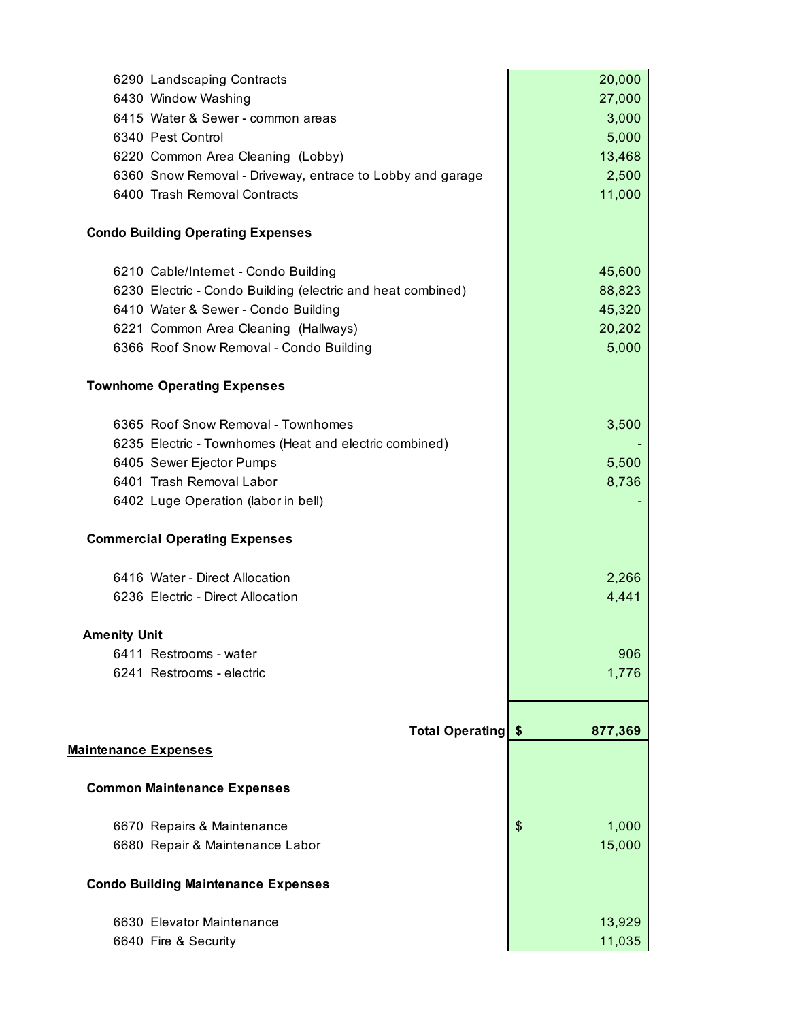| 6430 Window Washing<br>27,000<br>3,000<br>6415 Water & Sewer - common areas<br>6340 Pest Control<br>5,000<br>13,468<br>6220 Common Area Cleaning (Lobby)<br>6360 Snow Removal - Driveway, entrace to Lobby and garage<br>2,500<br>6400 Trash Removal Contracts<br>11,000<br><b>Condo Building Operating Expenses</b><br>6210 Cable/Internet - Condo Building<br>45,600<br>88,823<br>6230 Electric - Condo Building (electric and heat combined)<br>45,320<br>6410 Water & Sewer - Condo Building<br>20,202<br>6221 Common Area Cleaning (Hallways)<br>6366 Roof Snow Removal - Condo Building<br>5,000<br><b>Townhome Operating Expenses</b><br>6365 Roof Snow Removal - Townhomes<br>3,500<br>6235 Electric - Townhomes (Heat and electric combined)<br>5,500<br>6405 Sewer Ejector Pumps<br>6401 Trash Removal Labor<br>8,736<br>6402 Luge Operation (labor in bell)<br><b>Commercial Operating Expenses</b><br>6416 Water - Direct Allocation<br>2,266<br>4,441<br>6236 Electric - Direct Allocation<br><b>Amenity Unit</b><br>6411 Restrooms - water<br>906<br>6241 Restrooms - electric<br>1,776<br><b>Total Operating</b><br>877,369<br>\$<br><u>Maintenance Expenses</u><br><b>Common Maintenance Expenses</b><br>\$<br>6670 Repairs & Maintenance<br>1,000<br>15,000<br>6680 Repair & Maintenance Labor<br><b>Condo Building Maintenance Expenses</b><br>6630 Elevator Maintenance<br>13,929<br>11,035<br>6640 Fire & Security | 6290 Landscaping Contracts | 20,000 |
|----------------------------------------------------------------------------------------------------------------------------------------------------------------------------------------------------------------------------------------------------------------------------------------------------------------------------------------------------------------------------------------------------------------------------------------------------------------------------------------------------------------------------------------------------------------------------------------------------------------------------------------------------------------------------------------------------------------------------------------------------------------------------------------------------------------------------------------------------------------------------------------------------------------------------------------------------------------------------------------------------------------------------------------------------------------------------------------------------------------------------------------------------------------------------------------------------------------------------------------------------------------------------------------------------------------------------------------------------------------------------------------------------------------------------------------|----------------------------|--------|
|                                                                                                                                                                                                                                                                                                                                                                                                                                                                                                                                                                                                                                                                                                                                                                                                                                                                                                                                                                                                                                                                                                                                                                                                                                                                                                                                                                                                                                        |                            |        |
|                                                                                                                                                                                                                                                                                                                                                                                                                                                                                                                                                                                                                                                                                                                                                                                                                                                                                                                                                                                                                                                                                                                                                                                                                                                                                                                                                                                                                                        |                            |        |
|                                                                                                                                                                                                                                                                                                                                                                                                                                                                                                                                                                                                                                                                                                                                                                                                                                                                                                                                                                                                                                                                                                                                                                                                                                                                                                                                                                                                                                        |                            |        |
|                                                                                                                                                                                                                                                                                                                                                                                                                                                                                                                                                                                                                                                                                                                                                                                                                                                                                                                                                                                                                                                                                                                                                                                                                                                                                                                                                                                                                                        |                            |        |
|                                                                                                                                                                                                                                                                                                                                                                                                                                                                                                                                                                                                                                                                                                                                                                                                                                                                                                                                                                                                                                                                                                                                                                                                                                                                                                                                                                                                                                        |                            |        |
|                                                                                                                                                                                                                                                                                                                                                                                                                                                                                                                                                                                                                                                                                                                                                                                                                                                                                                                                                                                                                                                                                                                                                                                                                                                                                                                                                                                                                                        |                            |        |
|                                                                                                                                                                                                                                                                                                                                                                                                                                                                                                                                                                                                                                                                                                                                                                                                                                                                                                                                                                                                                                                                                                                                                                                                                                                                                                                                                                                                                                        |                            |        |
|                                                                                                                                                                                                                                                                                                                                                                                                                                                                                                                                                                                                                                                                                                                                                                                                                                                                                                                                                                                                                                                                                                                                                                                                                                                                                                                                                                                                                                        |                            |        |
|                                                                                                                                                                                                                                                                                                                                                                                                                                                                                                                                                                                                                                                                                                                                                                                                                                                                                                                                                                                                                                                                                                                                                                                                                                                                                                                                                                                                                                        |                            |        |
|                                                                                                                                                                                                                                                                                                                                                                                                                                                                                                                                                                                                                                                                                                                                                                                                                                                                                                                                                                                                                                                                                                                                                                                                                                                                                                                                                                                                                                        |                            |        |
|                                                                                                                                                                                                                                                                                                                                                                                                                                                                                                                                                                                                                                                                                                                                                                                                                                                                                                                                                                                                                                                                                                                                                                                                                                                                                                                                                                                                                                        |                            |        |
|                                                                                                                                                                                                                                                                                                                                                                                                                                                                                                                                                                                                                                                                                                                                                                                                                                                                                                                                                                                                                                                                                                                                                                                                                                                                                                                                                                                                                                        |                            |        |
|                                                                                                                                                                                                                                                                                                                                                                                                                                                                                                                                                                                                                                                                                                                                                                                                                                                                                                                                                                                                                                                                                                                                                                                                                                                                                                                                                                                                                                        |                            |        |
|                                                                                                                                                                                                                                                                                                                                                                                                                                                                                                                                                                                                                                                                                                                                                                                                                                                                                                                                                                                                                                                                                                                                                                                                                                                                                                                                                                                                                                        |                            |        |
|                                                                                                                                                                                                                                                                                                                                                                                                                                                                                                                                                                                                                                                                                                                                                                                                                                                                                                                                                                                                                                                                                                                                                                                                                                                                                                                                                                                                                                        |                            |        |
|                                                                                                                                                                                                                                                                                                                                                                                                                                                                                                                                                                                                                                                                                                                                                                                                                                                                                                                                                                                                                                                                                                                                                                                                                                                                                                                                                                                                                                        |                            |        |
|                                                                                                                                                                                                                                                                                                                                                                                                                                                                                                                                                                                                                                                                                                                                                                                                                                                                                                                                                                                                                                                                                                                                                                                                                                                                                                                                                                                                                                        |                            |        |
|                                                                                                                                                                                                                                                                                                                                                                                                                                                                                                                                                                                                                                                                                                                                                                                                                                                                                                                                                                                                                                                                                                                                                                                                                                                                                                                                                                                                                                        |                            |        |
|                                                                                                                                                                                                                                                                                                                                                                                                                                                                                                                                                                                                                                                                                                                                                                                                                                                                                                                                                                                                                                                                                                                                                                                                                                                                                                                                                                                                                                        |                            |        |
|                                                                                                                                                                                                                                                                                                                                                                                                                                                                                                                                                                                                                                                                                                                                                                                                                                                                                                                                                                                                                                                                                                                                                                                                                                                                                                                                                                                                                                        |                            |        |
|                                                                                                                                                                                                                                                                                                                                                                                                                                                                                                                                                                                                                                                                                                                                                                                                                                                                                                                                                                                                                                                                                                                                                                                                                                                                                                                                                                                                                                        |                            |        |
|                                                                                                                                                                                                                                                                                                                                                                                                                                                                                                                                                                                                                                                                                                                                                                                                                                                                                                                                                                                                                                                                                                                                                                                                                                                                                                                                                                                                                                        |                            |        |
|                                                                                                                                                                                                                                                                                                                                                                                                                                                                                                                                                                                                                                                                                                                                                                                                                                                                                                                                                                                                                                                                                                                                                                                                                                                                                                                                                                                                                                        |                            |        |
|                                                                                                                                                                                                                                                                                                                                                                                                                                                                                                                                                                                                                                                                                                                                                                                                                                                                                                                                                                                                                                                                                                                                                                                                                                                                                                                                                                                                                                        |                            |        |
|                                                                                                                                                                                                                                                                                                                                                                                                                                                                                                                                                                                                                                                                                                                                                                                                                                                                                                                                                                                                                                                                                                                                                                                                                                                                                                                                                                                                                                        |                            |        |
|                                                                                                                                                                                                                                                                                                                                                                                                                                                                                                                                                                                                                                                                                                                                                                                                                                                                                                                                                                                                                                                                                                                                                                                                                                                                                                                                                                                                                                        |                            |        |
|                                                                                                                                                                                                                                                                                                                                                                                                                                                                                                                                                                                                                                                                                                                                                                                                                                                                                                                                                                                                                                                                                                                                                                                                                                                                                                                                                                                                                                        |                            |        |
|                                                                                                                                                                                                                                                                                                                                                                                                                                                                                                                                                                                                                                                                                                                                                                                                                                                                                                                                                                                                                                                                                                                                                                                                                                                                                                                                                                                                                                        |                            |        |
|                                                                                                                                                                                                                                                                                                                                                                                                                                                                                                                                                                                                                                                                                                                                                                                                                                                                                                                                                                                                                                                                                                                                                                                                                                                                                                                                                                                                                                        |                            |        |
|                                                                                                                                                                                                                                                                                                                                                                                                                                                                                                                                                                                                                                                                                                                                                                                                                                                                                                                                                                                                                                                                                                                                                                                                                                                                                                                                                                                                                                        |                            |        |
|                                                                                                                                                                                                                                                                                                                                                                                                                                                                                                                                                                                                                                                                                                                                                                                                                                                                                                                                                                                                                                                                                                                                                                                                                                                                                                                                                                                                                                        |                            |        |
|                                                                                                                                                                                                                                                                                                                                                                                                                                                                                                                                                                                                                                                                                                                                                                                                                                                                                                                                                                                                                                                                                                                                                                                                                                                                                                                                                                                                                                        |                            |        |
|                                                                                                                                                                                                                                                                                                                                                                                                                                                                                                                                                                                                                                                                                                                                                                                                                                                                                                                                                                                                                                                                                                                                                                                                                                                                                                                                                                                                                                        |                            |        |